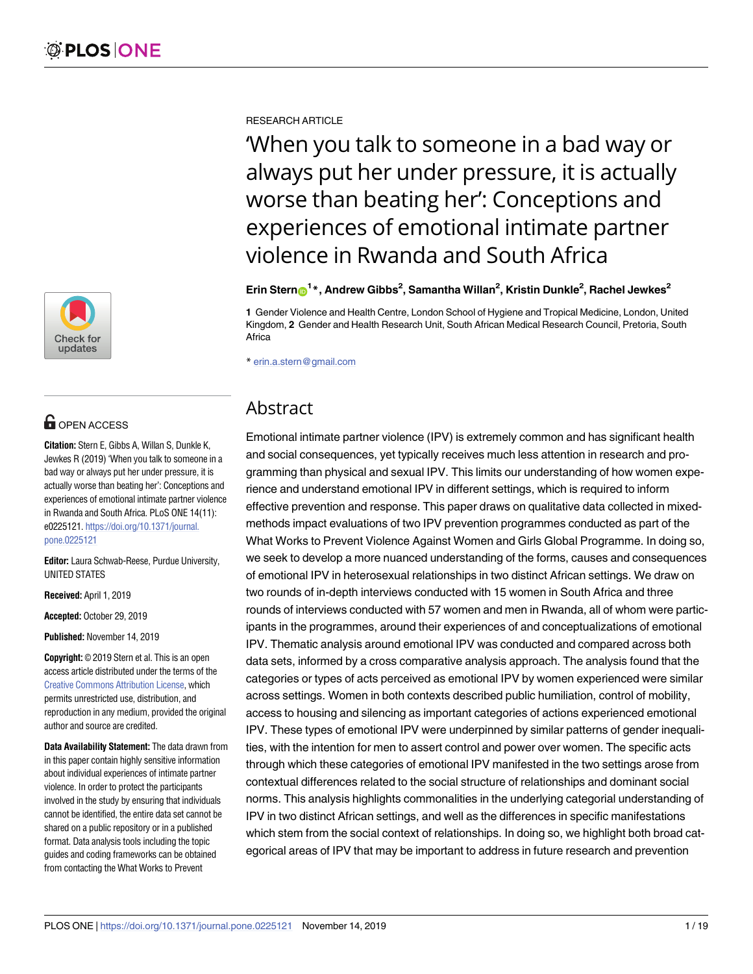

# **OPEN ACCESS**

**Citation:** Stern E, Gibbs A, Willan S, Dunkle K, Jewkes R (2019) 'When you talk to someone in a bad way or always put her under pressure, it is actually worse than beating her': Conceptions and experiences of emotional intimate partner violence in Rwanda and South Africa. PLoS ONE 14(11): e0225121. [https://doi.org/10.1371/journal.](https://doi.org/10.1371/journal.pone.0225121) [pone.0225121](https://doi.org/10.1371/journal.pone.0225121)

**Editor:** Laura Schwab-Reese, Purdue University, UNITED STATES

**Received:** April 1, 2019

**Accepted:** October 29, 2019

**Published:** November 14, 2019

**Copyright:** © 2019 Stern et al. This is an open access article distributed under the terms of the Creative Commons [Attribution](http://creativecommons.org/licenses/by/4.0/) License, which permits unrestricted use, distribution, and reproduction in any medium, provided the original author and source are credited.

**Data Availability Statement:** The data drawn from in this paper contain highly sensitive information about individual experiences of intimate partner violence. In order to protect the participants involved in the study by ensuring that individuals cannot be identified, the entire data set cannot be shared on a public repository or in a published format. Data analysis tools including the topic guides and coding frameworks can be obtained from contacting the What Works to Prevent

RESEARCH ARTICLE

'When you talk to someone in a bad way or always put her under pressure, it is actually worse than beating her': Conceptions and experiences of emotional intimate partner violence in Rwanda and South Africa

## $\mathsf{Err} \mathsf{I} \mathsf{I}^*$ ,  $\mathsf{Andrew~Gibbs}^2, \mathsf{Samantha~William}^2,$   $\mathsf{Kristin~Dunkle}^2, \mathsf{Rachel~Jewkes}^2$

**1** Gender Violence and Health Centre, London School of Hygiene and Tropical Medicine, London, United Kingdom, **2** Gender and Health Research Unit, South African Medical Research Council, Pretoria, South Africa

\* erin.a.stern@gmail.com

## Abstract

Emotional intimate partner violence (IPV) is extremely common and has significant health and social consequences, yet typically receives much less attention in research and programming than physical and sexual IPV. This limits our understanding of how women experience and understand emotional IPV in different settings, which is required to inform effective prevention and response. This paper draws on qualitative data collected in mixedmethods impact evaluations of two IPV prevention programmes conducted as part of the What Works to Prevent Violence Against Women and Girls Global Programme. In doing so, we seek to develop a more nuanced understanding of the forms, causes and consequences of emotional IPV in heterosexual relationships in two distinct African settings. We draw on two rounds of in-depth interviews conducted with 15 women in South Africa and three rounds of interviews conducted with 57 women and men in Rwanda, all of whom were participants in the programmes, around their experiences of and conceptualizations of emotional IPV. Thematic analysis around emotional IPV was conducted and compared across both data sets, informed by a cross comparative analysis approach. The analysis found that the categories or types of acts perceived as emotional IPV by women experienced were similar across settings. Women in both contexts described public humiliation, control of mobility, access to housing and silencing as important categories of actions experienced emotional IPV. These types of emotional IPV were underpinned by similar patterns of gender inequalities, with the intention for men to assert control and power over women. The specific acts through which these categories of emotional IPV manifested in the two settings arose from contextual differences related to the social structure of relationships and dominant social norms. This analysis highlights commonalities in the underlying categorial understanding of IPV in two distinct African settings, and well as the differences in specific manifestations which stem from the social context of relationships. In doing so, we highlight both broad categorical areas of IPV that may be important to address in future research and prevention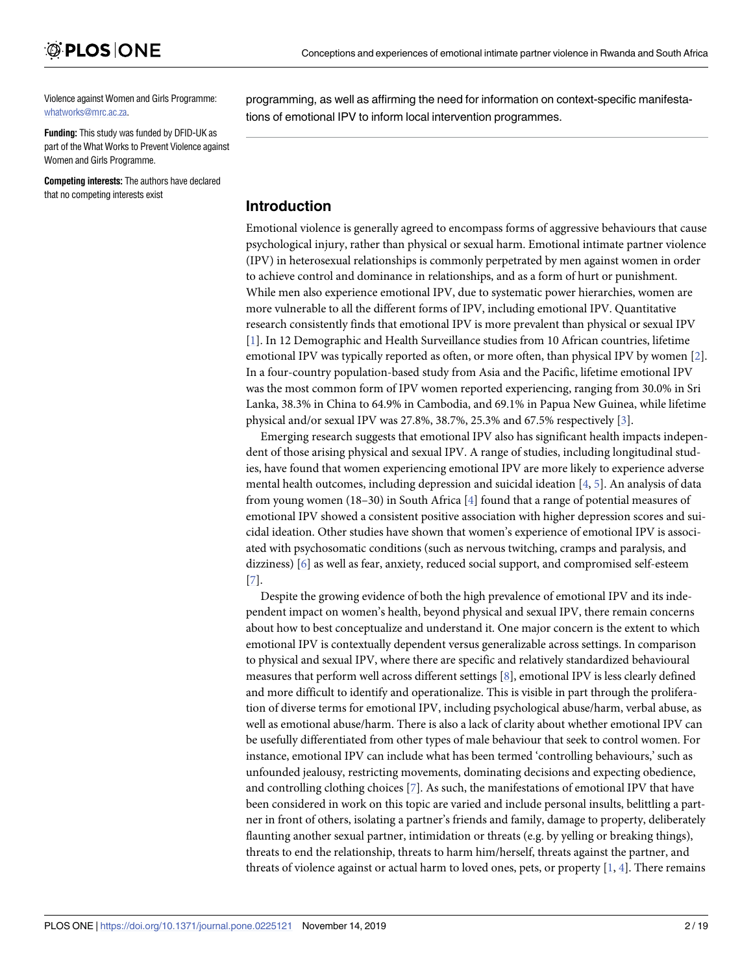<span id="page-1-0"></span>Violence against Women and Girls Programme: [whatworks@mrc.ac.za](mailto:whatworks@mrc.ac.za).

**Funding:** This study was funded by DFID-UK as part of the What Works to Prevent Violence against Women and Girls Programme.

**Competing interests:** The authors have declared that no competing interests exist

programming, as well as affirming the need for information on context-specific manifestations of emotional IPV to inform local intervention programmes.

## **Introduction**

Emotional violence is generally agreed to encompass forms of aggressive behaviours that cause psychological injury, rather than physical or sexual harm. Emotional intimate partner violence (IPV) in heterosexual relationships is commonly perpetrated by men against women in order to achieve control and dominance in relationships, and as a form of hurt or punishment. While men also experience emotional IPV, due to systematic power hierarchies, women are more vulnerable to all the different forms of IPV, including emotional IPV. Quantitative research consistently finds that emotional IPV is more prevalent than physical or sexual IPV [\[1](#page-17-0)]. In 12 Demographic and Health Surveillance studies from 10 African countries, lifetime emotional IPV was typically reported as often, or more often, than physical IPV by women [\[2\]](#page-17-0). In a four-country population-based study from Asia and the Pacific, lifetime emotional IPV was the most common form of IPV women reported experiencing, ranging from 30.0% in Sri Lanka, 38.3% in China to 64.9% in Cambodia, and 69.1% in Papua New Guinea, while lifetime physical and/or sexual IPV was 27.8%, 38.7%, 25.3% and 67.5% respectively [\[3\]](#page-17-0).

Emerging research suggests that emotional IPV also has significant health impacts independent of those arising physical and sexual IPV. A range of studies, including longitudinal studies, have found that women experiencing emotional IPV are more likely to experience adverse mental health outcomes, including depression and suicidal ideation  $[4, 5]$  $[4, 5]$  $[4, 5]$  $[4, 5]$ . An analysis of data from young women (18–30) in South Africa [[4](#page-17-0)] found that a range of potential measures of emotional IPV showed a consistent positive association with higher depression scores and suicidal ideation. Other studies have shown that women's experience of emotional IPV is associated with psychosomatic conditions (such as nervous twitching, cramps and paralysis, and dizziness) [[6\]](#page-17-0) as well as fear, anxiety, reduced social support, and compromised self-esteem [\[7](#page-17-0)].

Despite the growing evidence of both the high prevalence of emotional IPV and its independent impact on women's health, beyond physical and sexual IPV, there remain concerns about how to best conceptualize and understand it. One major concern is the extent to which emotional IPV is contextually dependent versus generalizable across settings. In comparison to physical and sexual IPV, where there are specific and relatively standardized behavioural measures that perform well across different settings [[8](#page-17-0)], emotional IPV is less clearly defined and more difficult to identify and operationalize. This is visible in part through the proliferation of diverse terms for emotional IPV, including psychological abuse/harm, verbal abuse, as well as emotional abuse/harm. There is also a lack of clarity about whether emotional IPV can be usefully differentiated from other types of male behaviour that seek to control women. For instance, emotional IPV can include what has been termed 'controlling behaviours,' such as unfounded jealousy, restricting movements, dominating decisions and expecting obedience, and controlling clothing choices [[7\]](#page-17-0). As such, the manifestations of emotional IPV that have been considered in work on this topic are varied and include personal insults, belittling a partner in front of others, isolating a partner's friends and family, damage to property, deliberately flaunting another sexual partner, intimidation or threats (e.g. by yelling or breaking things), threats to end the relationship, threats to harm him/herself, threats against the partner, and threats of violence against or actual harm to loved ones, pets, or property  $[1, 4]$  $[1, 4]$  $[1, 4]$ . There remains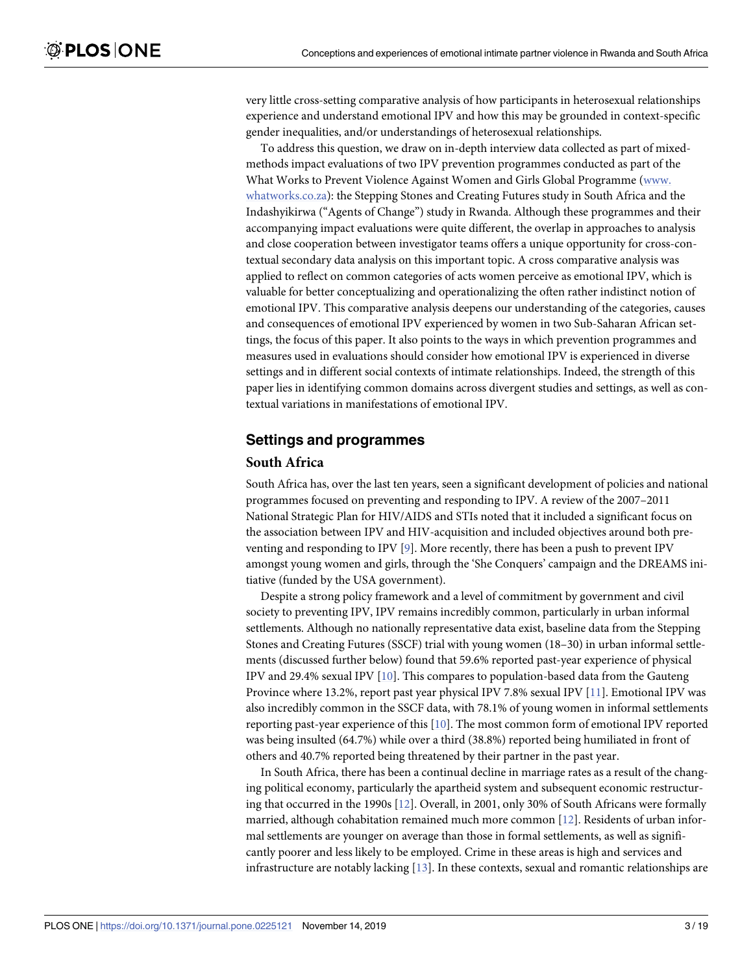<span id="page-2-0"></span>very little cross-setting comparative analysis of how participants in heterosexual relationships experience and understand emotional IPV and how this may be grounded in context-specific gender inequalities, and/or understandings of heterosexual relationships.

To address this question, we draw on in-depth interview data collected as part of mixedmethods impact evaluations of two IPV prevention programmes conducted as part of the What Works to Prevent Violence Against Women and Girls Global Programme [\(www.](http://www.whatworks.co.za) [whatworks.co.za\)](http://www.whatworks.co.za): the Stepping Stones and Creating Futures study in South Africa and the Indashyikirwa ("Agents of Change") study in Rwanda. Although these programmes and their accompanying impact evaluations were quite different, the overlap in approaches to analysis and close cooperation between investigator teams offers a unique opportunity for cross-contextual secondary data analysis on this important topic. A cross comparative analysis was applied to reflect on common categories of acts women perceive as emotional IPV, which is valuable for better conceptualizing and operationalizing the often rather indistinct notion of emotional IPV. This comparative analysis deepens our understanding of the categories, causes and consequences of emotional IPV experienced by women in two Sub-Saharan African settings, the focus of this paper. It also points to the ways in which prevention programmes and measures used in evaluations should consider how emotional IPV is experienced in diverse settings and in different social contexts of intimate relationships. Indeed, the strength of this paper lies in identifying common domains across divergent studies and settings, as well as contextual variations in manifestations of emotional IPV.

## **Settings and programmes**

#### **South Africa**

South Africa has, over the last ten years, seen a significant development of policies and national programmes focused on preventing and responding to IPV. A review of the 2007–2011 National Strategic Plan for HIV/AIDS and STIs noted that it included a significant focus on the association between IPV and HIV-acquisition and included objectives around both preventing and responding to IPV [[9\]](#page-17-0). More recently, there has been a push to prevent IPV amongst young women and girls, through the 'She Conquers' campaign and the DREAMS initiative (funded by the USA government).

Despite a strong policy framework and a level of commitment by government and civil society to preventing IPV, IPV remains incredibly common, particularly in urban informal settlements. Although no nationally representative data exist, baseline data from the Stepping Stones and Creating Futures (SSCF) trial with young women (18–30) in urban informal settlements (discussed further below) found that 59.6% reported past-year experience of physical IPV and 29.4% sexual IPV [\[10\]](#page-17-0). This compares to population-based data from the Gauteng Province where 13.2%, report past year physical IPV 7.8% sexual IPV [[11](#page-17-0)]. Emotional IPV was also incredibly common in the SSCF data, with 78.1% of young women in informal settlements reporting past-year experience of this [\[10\]](#page-17-0). The most common form of emotional IPV reported was being insulted (64.7%) while over a third (38.8%) reported being humiliated in front of others and 40.7% reported being threatened by their partner in the past year.

In South Africa, there has been a continual decline in marriage rates as a result of the changing political economy, particularly the apartheid system and subsequent economic restructuring that occurred in the 1990s [\[12\]](#page-17-0). Overall, in 2001, only 30% of South Africans were formally married, although cohabitation remained much more common [\[12\]](#page-17-0). Residents of urban informal settlements are younger on average than those in formal settlements, as well as significantly poorer and less likely to be employed. Crime in these areas is high and services and infrastructure are notably lacking [\[13\]](#page-17-0). In these contexts, sexual and romantic relationships are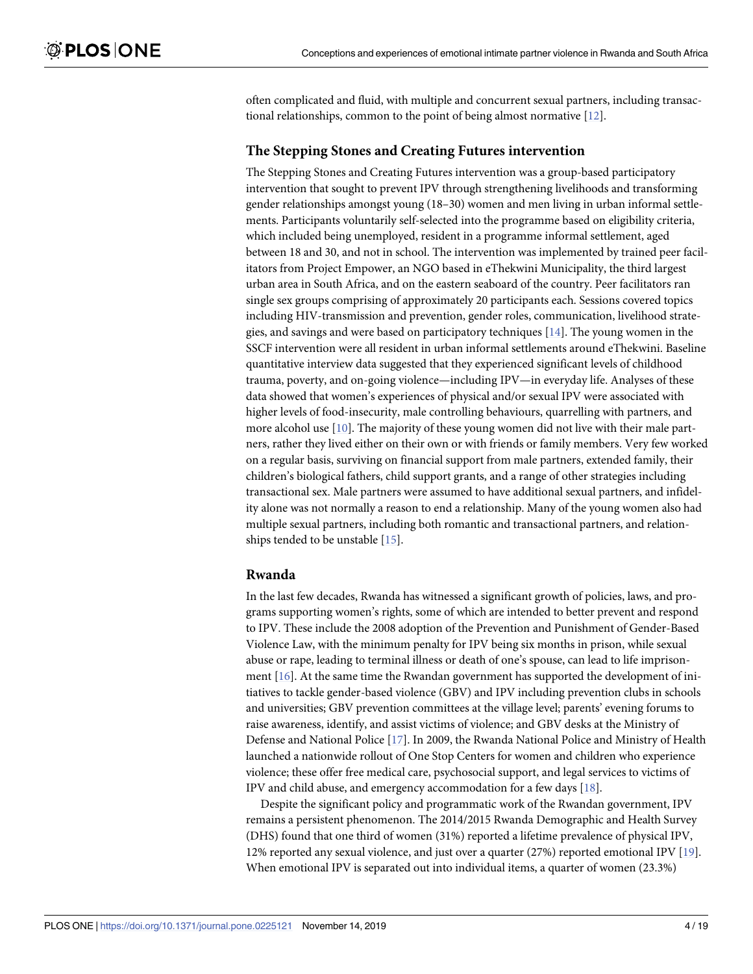<span id="page-3-0"></span>often complicated and fluid, with multiple and concurrent sexual partners, including transactional relationships, common to the point of being almost normative [\[12\]](#page-17-0).

#### **The Stepping Stones and Creating Futures intervention**

The Stepping Stones and Creating Futures intervention was a group-based participatory intervention that sought to prevent IPV through strengthening livelihoods and transforming gender relationships amongst young (18–30) women and men living in urban informal settlements. Participants voluntarily self-selected into the programme based on eligibility criteria, which included being unemployed, resident in a programme informal settlement, aged between 18 and 30, and not in school. The intervention was implemented by trained peer facilitators from Project Empower, an NGO based in eThekwini Municipality, the third largest urban area in South Africa, and on the eastern seaboard of the country. Peer facilitators ran single sex groups comprising of approximately 20 participants each. Sessions covered topics including HIV-transmission and prevention, gender roles, communication, livelihood strategies, and savings and were based on participatory techniques [[14](#page-18-0)]. The young women in the SSCF intervention were all resident in urban informal settlements around eThekwini. Baseline quantitative interview data suggested that they experienced significant levels of childhood trauma, poverty, and on-going violence—including IPV—in everyday life. Analyses of these data showed that women's experiences of physical and/or sexual IPV were associated with higher levels of food-insecurity, male controlling behaviours, quarrelling with partners, and more alcohol use [\[10\]](#page-17-0). The majority of these young women did not live with their male partners, rather they lived either on their own or with friends or family members. Very few worked on a regular basis, surviving on financial support from male partners, extended family, their children's biological fathers, child support grants, and a range of other strategies including transactional sex. Male partners were assumed to have additional sexual partners, and infidelity alone was not normally a reason to end a relationship. Many of the young women also had multiple sexual partners, including both romantic and transactional partners, and relation-ships tended to be unstable [\[15\]](#page-18-0).

#### **Rwanda**

In the last few decades, Rwanda has witnessed a significant growth of policies, laws, and programs supporting women's rights, some of which are intended to better prevent and respond to IPV. These include the 2008 adoption of the Prevention and Punishment of Gender-Based Violence Law, with the minimum penalty for IPV being six months in prison, while sexual abuse or rape, leading to terminal illness or death of one's spouse, can lead to life imprisonment [\[16\]](#page-18-0). At the same time the Rwandan government has supported the development of initiatives to tackle gender-based violence (GBV) and IPV including prevention clubs in schools and universities; GBV prevention committees at the village level; parents' evening forums to raise awareness, identify, and assist victims of violence; and GBV desks at the Ministry of Defense and National Police [\[17\]](#page-18-0). In 2009, the Rwanda National Police and Ministry of Health launched a nationwide rollout of One Stop Centers for women and children who experience violence; these offer free medical care, psychosocial support, and legal services to victims of IPV and child abuse, and emergency accommodation for a few days [[18](#page-18-0)].

Despite the significant policy and programmatic work of the Rwandan government, IPV remains a persistent phenomenon. The 2014/2015 Rwanda Demographic and Health Survey (DHS) found that one third of women (31%) reported a lifetime prevalence of physical IPV, 12% reported any sexual violence, and just over a quarter (27%) reported emotional IPV [\[19\]](#page-18-0). When emotional IPV is separated out into individual items, a quarter of women (23.3%)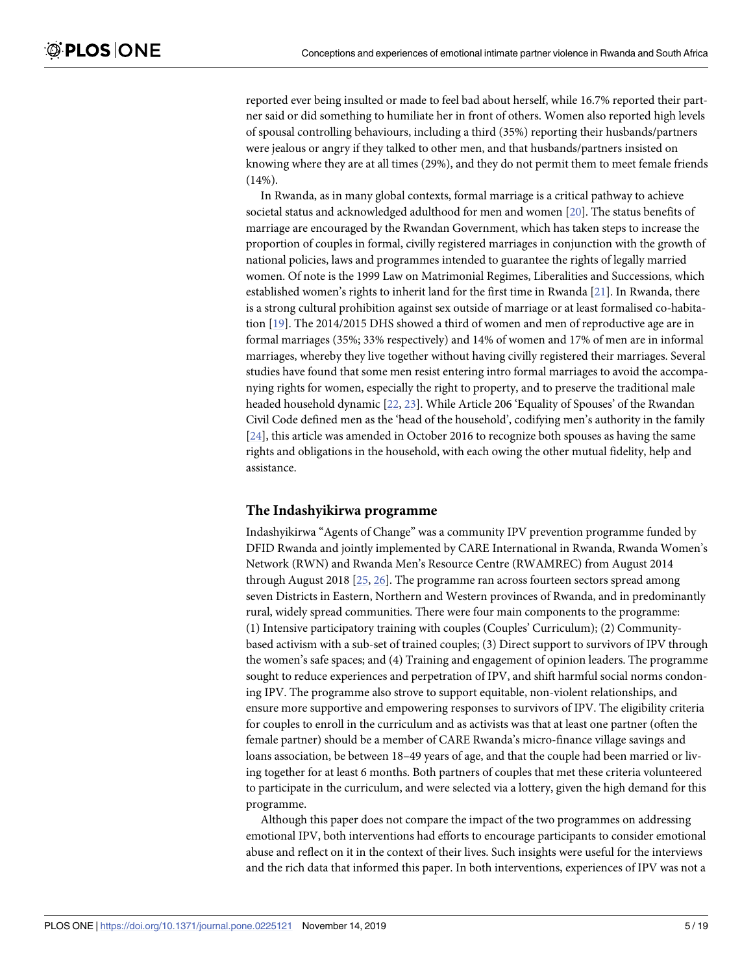<span id="page-4-0"></span>reported ever being insulted or made to feel bad about herself, while 16.7% reported their partner said or did something to humiliate her in front of others. Women also reported high levels of spousal controlling behaviours, including a third (35%) reporting their husbands/partners were jealous or angry if they talked to other men, and that husbands/partners insisted on knowing where they are at all times (29%), and they do not permit them to meet female friends (14%).

In Rwanda, as in many global contexts, formal marriage is a critical pathway to achieve societal status and acknowledged adulthood for men and women [\[20\]](#page-18-0). The status benefits of marriage are encouraged by the Rwandan Government, which has taken steps to increase the proportion of couples in formal, civilly registered marriages in conjunction with the growth of national policies, laws and programmes intended to guarantee the rights of legally married women. Of note is the 1999 Law on Matrimonial Regimes, Liberalities and Successions, which established women's rights to inherit land for the first time in Rwanda [\[21\]](#page-18-0). In Rwanda, there is a strong cultural prohibition against sex outside of marriage or at least formalised co-habitation [[19](#page-18-0)]. The 2014/2015 DHS showed a third of women and men of reproductive age are in formal marriages (35%; 33% respectively) and 14% of women and 17% of men are in informal marriages, whereby they live together without having civilly registered their marriages. Several studies have found that some men resist entering intro formal marriages to avoid the accompanying rights for women, especially the right to property, and to preserve the traditional male headed household dynamic [[22](#page-18-0), [23](#page-18-0)]. While Article 206 'Equality of Spouses' of the Rwandan Civil Code defined men as the 'head of the household', codifying men's authority in the family [\[24\]](#page-18-0), this article was amended in October 2016 to recognize both spouses as having the same rights and obligations in the household, with each owing the other mutual fidelity, help and assistance.

#### **The Indashyikirwa programme**

Indashyikirwa "Agents of Change" was a community IPV prevention programme funded by DFID Rwanda and jointly implemented by CARE International in Rwanda, Rwanda Women's Network (RWN) and Rwanda Men's Resource Centre (RWAMREC) from August 2014 through August 2018 [[25](#page-18-0), [26](#page-18-0)]. The programme ran across fourteen sectors spread among seven Districts in Eastern, Northern and Western provinces of Rwanda, and in predominantly rural, widely spread communities. There were four main components to the programme: (1) Intensive participatory training with couples (Couples' Curriculum); (2) Communitybased activism with a sub-set of trained couples; (3) Direct support to survivors of IPV through the women's safe spaces; and (4) Training and engagement of opinion leaders. The programme sought to reduce experiences and perpetration of IPV, and shift harmful social norms condoning IPV. The programme also strove to support equitable, non-violent relationships, and ensure more supportive and empowering responses to survivors of IPV. The eligibility criteria for couples to enroll in the curriculum and as activists was that at least one partner (often the female partner) should be a member of CARE Rwanda's micro-finance village savings and loans association, be between 18–49 years of age, and that the couple had been married or living together for at least 6 months. Both partners of couples that met these criteria volunteered to participate in the curriculum, and were selected via a lottery, given the high demand for this programme.

Although this paper does not compare the impact of the two programmes on addressing emotional IPV, both interventions had efforts to encourage participants to consider emotional abuse and reflect on it in the context of their lives. Such insights were useful for the interviews and the rich data that informed this paper. In both interventions, experiences of IPV was not a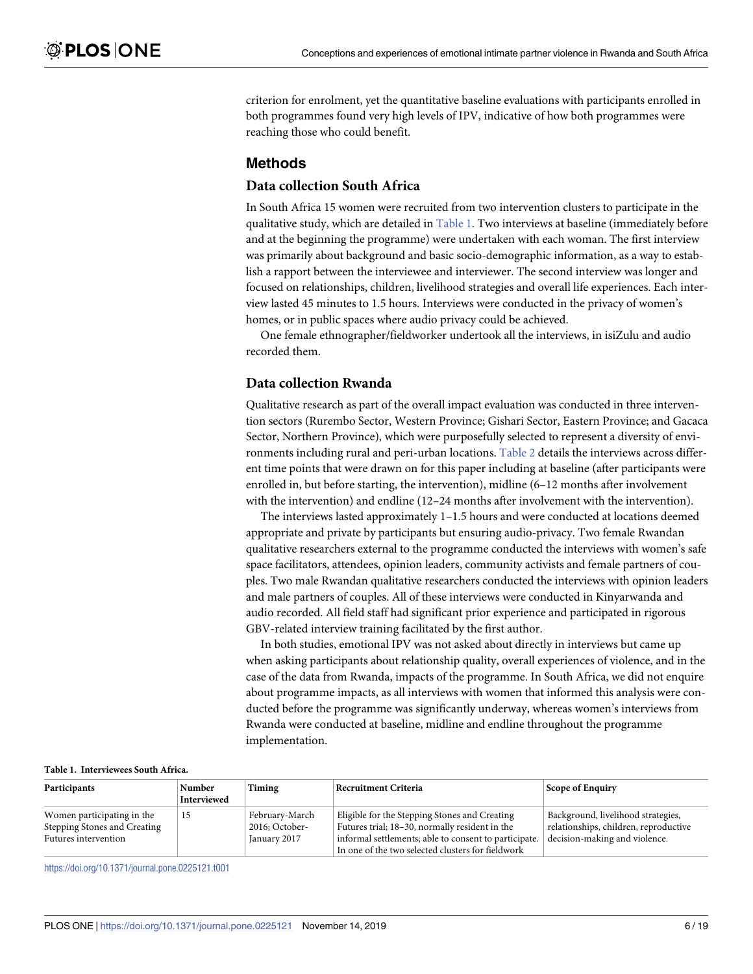<span id="page-5-0"></span>criterion for enrolment, yet the quantitative baseline evaluations with participants enrolled in both programmes found very high levels of IPV, indicative of how both programmes were reaching those who could benefit.

## **Methods**

## **Data collection South Africa**

In South Africa 15 women were recruited from two intervention clusters to participate in the qualitative study, which are detailed in Table 1. Two interviews at baseline (immediately before and at the beginning the programme) were undertaken with each woman. The first interview was primarily about background and basic socio-demographic information, as a way to establish a rapport between the interviewee and interviewer. The second interview was longer and focused on relationships, children, livelihood strategies and overall life experiences. Each interview lasted 45 minutes to 1.5 hours. Interviews were conducted in the privacy of women's homes, or in public spaces where audio privacy could be achieved.

One female ethnographer/fieldworker undertook all the interviews, in isiZulu and audio recorded them.

## **Data collection Rwanda**

Qualitative research as part of the overall impact evaluation was conducted in three intervention sectors (Rurembo Sector, Western Province; Gishari Sector, Eastern Province; and Gacaca Sector, Northern Province), which were purposefully selected to represent a diversity of environments including rural and peri-urban locations. [Table](#page-6-0) 2 details the interviews across different time points that were drawn on for this paper including at baseline (after participants were enrolled in, but before starting, the intervention), midline (6–12 months after involvement with the intervention) and endline (12–24 months after involvement with the intervention).

The interviews lasted approximately 1–1.5 hours and were conducted at locations deemed appropriate and private by participants but ensuring audio-privacy. Two female Rwandan qualitative researchers external to the programme conducted the interviews with women's safe space facilitators, attendees, opinion leaders, community activists and female partners of couples. Two male Rwandan qualitative researchers conducted the interviews with opinion leaders and male partners of couples. All of these interviews were conducted in Kinyarwanda and audio recorded. All field staff had significant prior experience and participated in rigorous GBV-related interview training facilitated by the first author.

In both studies, emotional IPV was not asked about directly in interviews but came up when asking participants about relationship quality, overall experiences of violence, and in the case of the data from Rwanda, impacts of the programme. In South Africa, we did not enquire about programme impacts, as all interviews with women that informed this analysis were conducted before the programme was significantly underway, whereas women's interviews from Rwanda were conducted at baseline, midline and endline throughout the programme implementation.

#### **Table 1. Interviewees South Africa.**

| Participants                                               | Number<br><b>Interviewed</b> | Timing                           | <b>Recruitment Criteria</b>                                                                                | Scope of Enguiry                                                            |
|------------------------------------------------------------|------------------------------|----------------------------------|------------------------------------------------------------------------------------------------------------|-----------------------------------------------------------------------------|
| Women participating in the<br>Stepping Stones and Creating | 15                           | February-March<br>2016; October- | Eligible for the Stepping Stones and Creating<br>Futures trial; 18–30, normally resident in the            | Background, livelihood strategies,<br>relationships, children, reproductive |
| Futures intervention                                       |                              | January 2017                     | informal settlements; able to consent to participate.<br>In one of the two selected clusters for fieldwork | decision-making and violence.                                               |

<https://doi.org/10.1371/journal.pone.0225121.t001>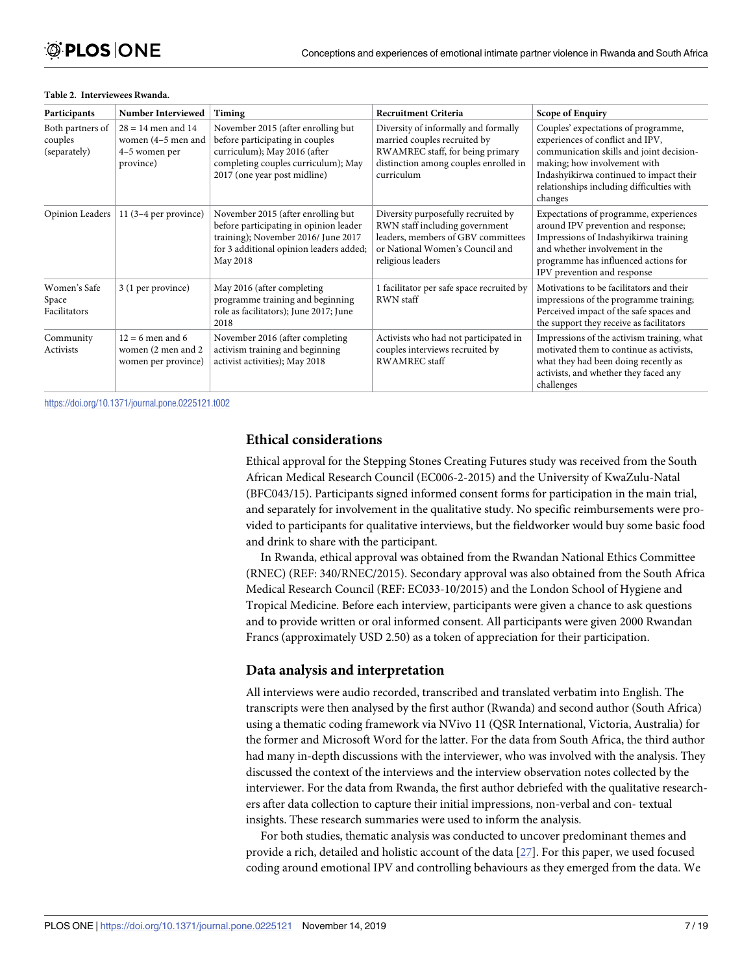<span id="page-6-0"></span>

|  | Table 2. Interviewees Rwanda. |  |
|--|-------------------------------|--|
|--|-------------------------------|--|

| Participants                                | Number Interviewed                                                         | Timing                                                                                                                                                                       | <b>Recruitment Criteria</b>                                                                                                                                         | <b>Scope of Enquiry</b>                                                                                                                                                                                                                                |
|---------------------------------------------|----------------------------------------------------------------------------|------------------------------------------------------------------------------------------------------------------------------------------------------------------------------|---------------------------------------------------------------------------------------------------------------------------------------------------------------------|--------------------------------------------------------------------------------------------------------------------------------------------------------------------------------------------------------------------------------------------------------|
| Both partners of<br>couples<br>(separately) | $28 = 14$ men and 14<br>women $(4-5$ men and<br>4-5 women per<br>province) | November 2015 (after enrolling but<br>before participating in couples<br>curriculum); May 2016 (after<br>completing couples curriculum); May<br>2017 (one year post midline) | Diversity of informally and formally<br>married couples recruited by<br>RWAMREC staff, for being primary<br>distinction among couples enrolled in<br>curriculum     | Couples' expectations of programme,<br>experiences of conflict and IPV,<br>communication skills and joint decision-<br>making; how involvement with<br>Indashyikirwa continued to impact their<br>relationships including difficulties with<br>changes |
| Opinion Leaders                             | 11 $(3-4)$ per province)                                                   | November 2015 (after enrolling but<br>before participating in opinion leader<br>training); November 2016/ June 2017<br>for 3 additional opinion leaders added;<br>May 2018   | Diversity purposefully recruited by<br>RWN staff including government<br>leaders, members of GBV committees<br>or National Women's Council and<br>religious leaders | Expectations of programme, experiences<br>around IPV prevention and response;<br>Impressions of Indashyikirwa training<br>and whether involvement in the<br>programme has influenced actions for<br>IPV prevention and response                        |
| Women's Safe<br>Space<br>Facilitators       | 3 (1 per province)                                                         | May 2016 (after completing<br>programme training and beginning<br>role as facilitators); June 2017; June<br>2018                                                             | 1 facilitator per safe space recruited by<br>RWN staff                                                                                                              | Motivations to be facilitators and their<br>impressions of the programme training;<br>Perceived impact of the safe spaces and<br>the support they receive as facilitators                                                                              |
| Community<br>Activists                      | $12 = 6$ men and 6<br>women (2 men and 2)<br>women per province)           | November 2016 (after completing<br>activism training and beginning<br>activist activities); May 2018                                                                         | Activists who had not participated in<br>couples interviews recruited by<br><b>RWAMREC</b> staff                                                                    | Impressions of the activism training, what<br>motivated them to continue as activists.<br>what they had been doing recently as<br>activists, and whether they faced any<br>challenges                                                                  |

<https://doi.org/10.1371/journal.pone.0225121.t002>

#### **Ethical considerations**

Ethical approval for the Stepping Stones Creating Futures study was received from the South African Medical Research Council (EC006-2-2015) and the University of KwaZulu-Natal (BFC043/15). Participants signed informed consent forms for participation in the main trial, and separately for involvement in the qualitative study. No specific reimbursements were provided to participants for qualitative interviews, but the fieldworker would buy some basic food and drink to share with the participant.

In Rwanda, ethical approval was obtained from the Rwandan National Ethics Committee (RNEC) (REF: 340/RNEC/2015). Secondary approval was also obtained from the South Africa Medical Research Council (REF: EC033-10/2015) and the London School of Hygiene and Tropical Medicine. Before each interview, participants were given a chance to ask questions and to provide written or oral informed consent. All participants were given 2000 Rwandan Francs (approximately USD 2.50) as a token of appreciation for their participation.

#### **Data analysis and interpretation**

All interviews were audio recorded, transcribed and translated verbatim into English. The transcripts were then analysed by the first author (Rwanda) and second author (South Africa) using a thematic coding framework via NVivo 11 (QSR International, Victoria, Australia) for the former and Microsoft Word for the latter. For the data from South Africa, the third author had many in-depth discussions with the interviewer, who was involved with the analysis. They discussed the context of the interviews and the interview observation notes collected by the interviewer. For the data from Rwanda, the first author debriefed with the qualitative researchers after data collection to capture their initial impressions, non-verbal and con- textual insights. These research summaries were used to inform the analysis.

For both studies, thematic analysis was conducted to uncover predominant themes and provide a rich, detailed and holistic account of the data [\[27\]](#page-18-0). For this paper, we used focused coding around emotional IPV and controlling behaviours as they emerged from the data. We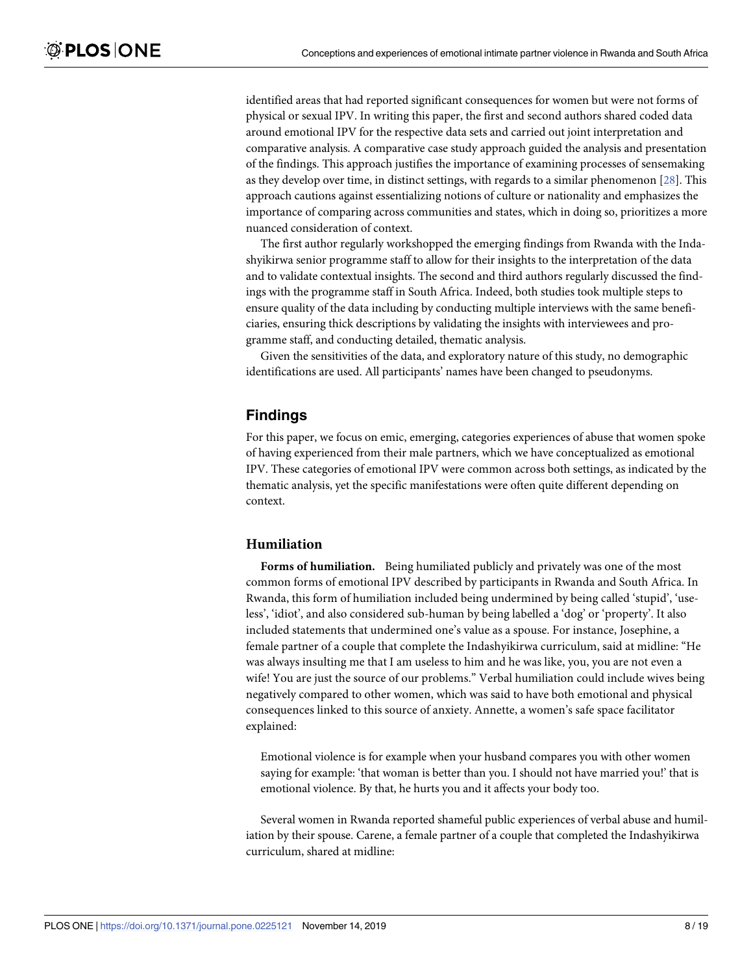<span id="page-7-0"></span>identified areas that had reported significant consequences for women but were not forms of physical or sexual IPV. In writing this paper, the first and second authors shared coded data around emotional IPV for the respective data sets and carried out joint interpretation and comparative analysis. A comparative case study approach guided the analysis and presentation of the findings. This approach justifies the importance of examining processes of sensemaking as they develop over time, in distinct settings, with regards to a similar phenomenon [[28](#page-18-0)]. This approach cautions against essentializing notions of culture or nationality and emphasizes the importance of comparing across communities and states, which in doing so, prioritizes a more nuanced consideration of context.

The first author regularly workshopped the emerging findings from Rwanda with the Indashyikirwa senior programme staff to allow for their insights to the interpretation of the data and to validate contextual insights. The second and third authors regularly discussed the findings with the programme staff in South Africa. Indeed, both studies took multiple steps to ensure quality of the data including by conducting multiple interviews with the same beneficiaries, ensuring thick descriptions by validating the insights with interviewees and programme staff, and conducting detailed, thematic analysis.

Given the sensitivities of the data, and exploratory nature of this study, no demographic identifications are used. All participants' names have been changed to pseudonyms.

## **Findings**

For this paper, we focus on emic, emerging, categories experiences of abuse that women spoke of having experienced from their male partners, which we have conceptualized as emotional IPV. These categories of emotional IPV were common across both settings, as indicated by the thematic analysis, yet the specific manifestations were often quite different depending on context.

#### **Humiliation**

**Forms of humiliation.** Being humiliated publicly and privately was one of the most common forms of emotional IPV described by participants in Rwanda and South Africa. In Rwanda, this form of humiliation included being undermined by being called 'stupid', 'useless', 'idiot', and also considered sub-human by being labelled a 'dog' or 'property'. It also included statements that undermined one's value as a spouse. For instance, Josephine, a female partner of a couple that complete the Indashyikirwa curriculum, said at midline: "He was always insulting me that I am useless to him and he was like, you, you are not even a wife! You are just the source of our problems." Verbal humiliation could include wives being negatively compared to other women, which was said to have both emotional and physical consequences linked to this source of anxiety. Annette, a women's safe space facilitator explained:

Emotional violence is for example when your husband compares you with other women saying for example: 'that woman is better than you. I should not have married you!' that is emotional violence. By that, he hurts you and it affects your body too.

Several women in Rwanda reported shameful public experiences of verbal abuse and humiliation by their spouse. Carene, a female partner of a couple that completed the Indashyikirwa curriculum, shared at midline: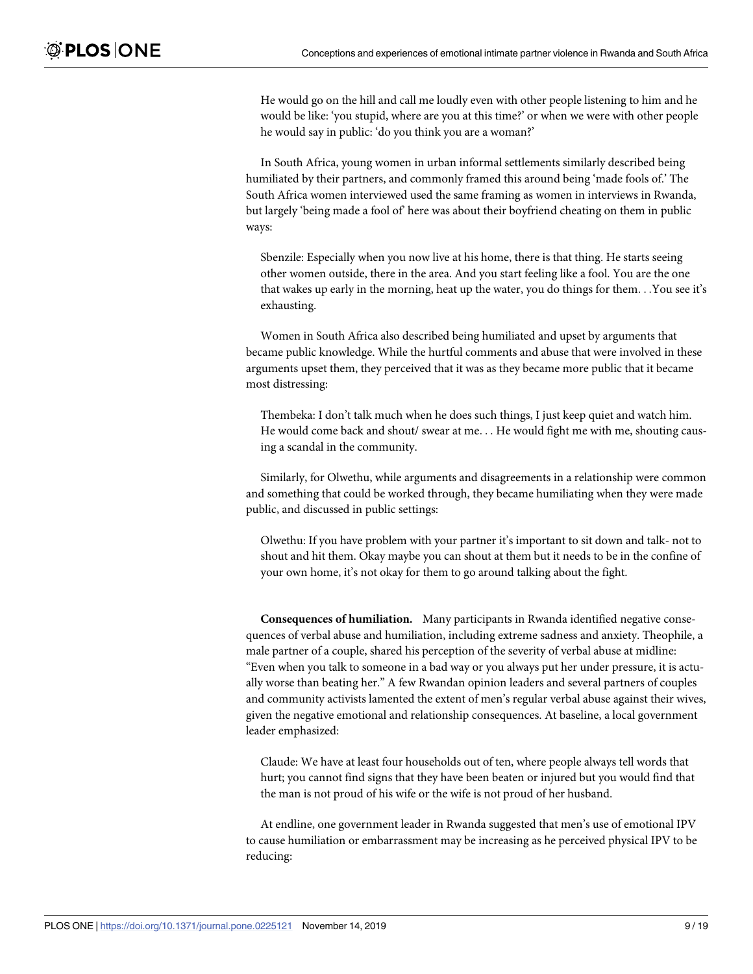He would go on the hill and call me loudly even with other people listening to him and he would be like: 'you stupid, where are you at this time?' or when we were with other people he would say in public: 'do you think you are a woman?'

In South Africa, young women in urban informal settlements similarly described being humiliated by their partners, and commonly framed this around being 'made fools of.' The South Africa women interviewed used the same framing as women in interviews in Rwanda, but largely 'being made a fool of' here was about their boyfriend cheating on them in public ways:

Sbenzile: Especially when you now live at his home, there is that thing. He starts seeing other women outside, there in the area. And you start feeling like a fool. You are the one that wakes up early in the morning, heat up the water, you do things for them. . .You see it's exhausting.

Women in South Africa also described being humiliated and upset by arguments that became public knowledge. While the hurtful comments and abuse that were involved in these arguments upset them, they perceived that it was as they became more public that it became most distressing:

Thembeka: I don't talk much when he does such things, I just keep quiet and watch him. He would come back and shout/ swear at me. . . He would fight me with me, shouting causing a scandal in the community.

Similarly, for Olwethu, while arguments and disagreements in a relationship were common and something that could be worked through, they became humiliating when they were made public, and discussed in public settings:

Olwethu: If you have problem with your partner it's important to sit down and talk- not to shout and hit them. Okay maybe you can shout at them but it needs to be in the confine of your own home, it's not okay for them to go around talking about the fight.

**Consequences of humiliation.** Many participants in Rwanda identified negative consequences of verbal abuse and humiliation, including extreme sadness and anxiety. Theophile, a male partner of a couple, shared his perception of the severity of verbal abuse at midline: "Even when you talk to someone in a bad way or you always put her under pressure, it is actually worse than beating her." A few Rwandan opinion leaders and several partners of couples and community activists lamented the extent of men's regular verbal abuse against their wives, given the negative emotional and relationship consequences. At baseline, a local government leader emphasized:

Claude: We have at least four households out of ten, where people always tell words that hurt; you cannot find signs that they have been beaten or injured but you would find that the man is not proud of his wife or the wife is not proud of her husband.

At endline, one government leader in Rwanda suggested that men's use of emotional IPV to cause humiliation or embarrassment may be increasing as he perceived physical IPV to be reducing: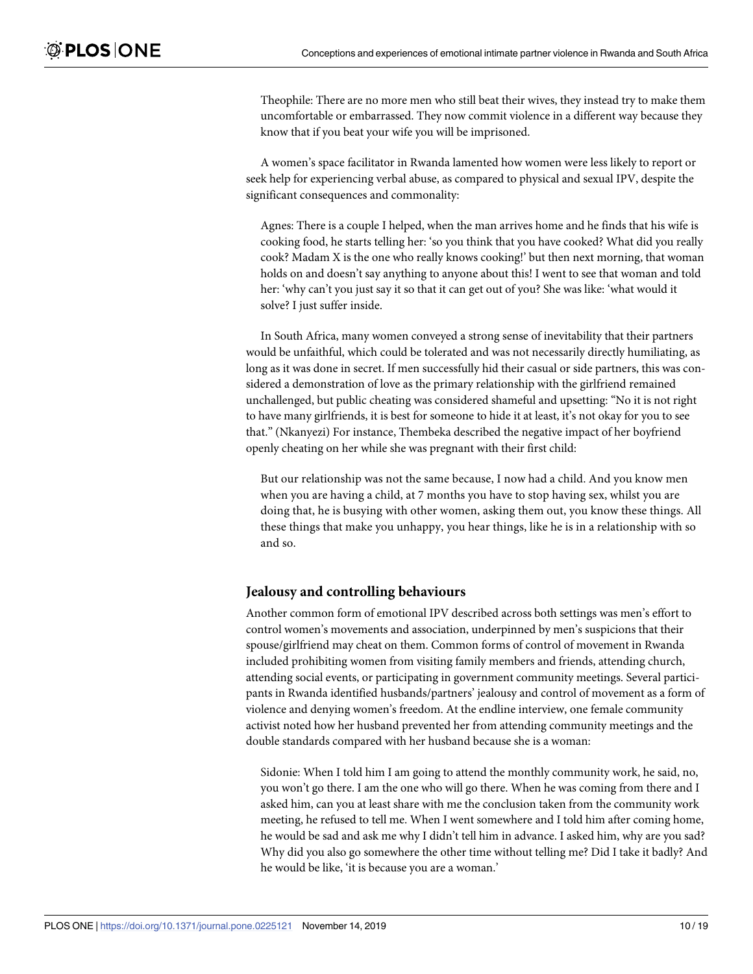Theophile: There are no more men who still beat their wives, they instead try to make them uncomfortable or embarrassed. They now commit violence in a different way because they know that if you beat your wife you will be imprisoned.

A women's space facilitator in Rwanda lamented how women were less likely to report or seek help for experiencing verbal abuse, as compared to physical and sexual IPV, despite the significant consequences and commonality:

Agnes: There is a couple I helped, when the man arrives home and he finds that his wife is cooking food, he starts telling her: 'so you think that you have cooked? What did you really cook? Madam X is the one who really knows cooking!' but then next morning, that woman holds on and doesn't say anything to anyone about this! I went to see that woman and told her: 'why can't you just say it so that it can get out of you? She was like: 'what would it solve? I just suffer inside.

In South Africa, many women conveyed a strong sense of inevitability that their partners would be unfaithful, which could be tolerated and was not necessarily directly humiliating, as long as it was done in secret. If men successfully hid their casual or side partners, this was considered a demonstration of love as the primary relationship with the girlfriend remained unchallenged, but public cheating was considered shameful and upsetting: "No it is not right to have many girlfriends, it is best for someone to hide it at least, it's not okay for you to see that." (Nkanyezi) For instance, Thembeka described the negative impact of her boyfriend openly cheating on her while she was pregnant with their first child:

But our relationship was not the same because, I now had a child. And you know men when you are having a child, at 7 months you have to stop having sex, whilst you are doing that, he is busying with other women, asking them out, you know these things. All these things that make you unhappy, you hear things, like he is in a relationship with so and so.

## **Jealousy and controlling behaviours**

Another common form of emotional IPV described across both settings was men's effort to control women's movements and association, underpinned by men's suspicions that their spouse/girlfriend may cheat on them. Common forms of control of movement in Rwanda included prohibiting women from visiting family members and friends, attending church, attending social events, or participating in government community meetings. Several participants in Rwanda identified husbands/partners' jealousy and control of movement as a form of violence and denying women's freedom. At the endline interview, one female community activist noted how her husband prevented her from attending community meetings and the double standards compared with her husband because she is a woman:

Sidonie: When I told him I am going to attend the monthly community work, he said, no, you won't go there. I am the one who will go there. When he was coming from there and I asked him, can you at least share with me the conclusion taken from the community work meeting, he refused to tell me. When I went somewhere and I told him after coming home, he would be sad and ask me why I didn't tell him in advance. I asked him, why are you sad? Why did you also go somewhere the other time without telling me? Did I take it badly? And he would be like, 'it is because you are a woman.'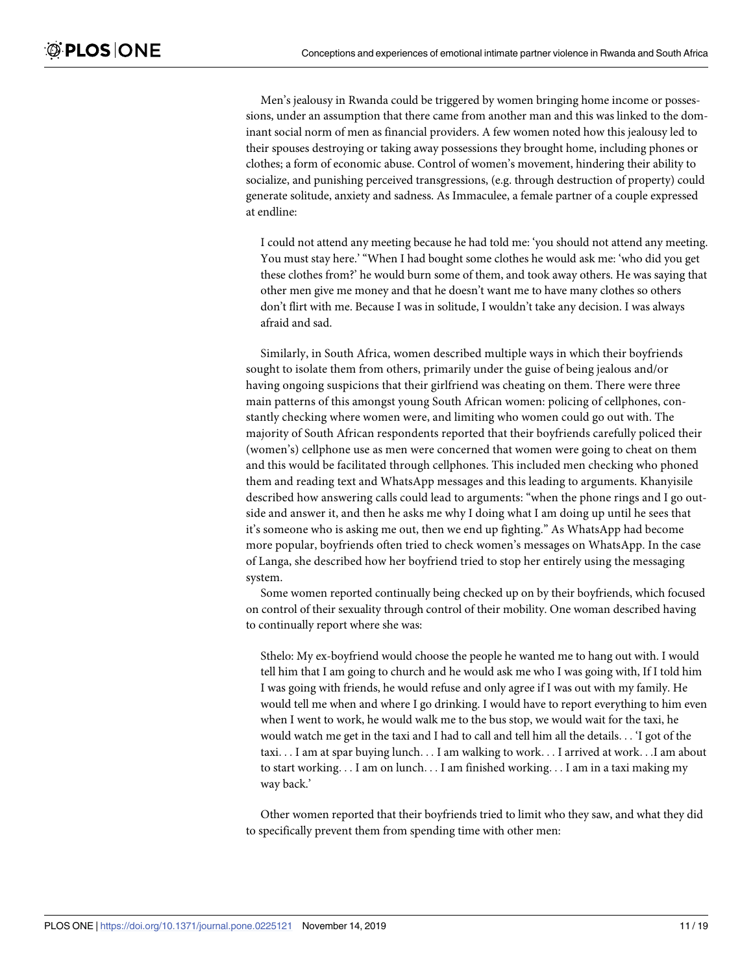Men's jealousy in Rwanda could be triggered by women bringing home income or possessions, under an assumption that there came from another man and this was linked to the dominant social norm of men as financial providers. A few women noted how this jealousy led to their spouses destroying or taking away possessions they brought home, including phones or clothes; a form of economic abuse. Control of women's movement, hindering their ability to socialize, and punishing perceived transgressions, (e.g. through destruction of property) could generate solitude, anxiety and sadness. As Immaculee, a female partner of a couple expressed at endline:

I could not attend any meeting because he had told me: 'you should not attend any meeting. You must stay here.' "When I had bought some clothes he would ask me: 'who did you get these clothes from?' he would burn some of them, and took away others. He was saying that other men give me money and that he doesn't want me to have many clothes so others don't flirt with me. Because I was in solitude, I wouldn't take any decision. I was always afraid and sad.

Similarly, in South Africa, women described multiple ways in which their boyfriends sought to isolate them from others, primarily under the guise of being jealous and/or having ongoing suspicions that their girlfriend was cheating on them. There were three main patterns of this amongst young South African women: policing of cellphones, constantly checking where women were, and limiting who women could go out with. The majority of South African respondents reported that their boyfriends carefully policed their (women's) cellphone use as men were concerned that women were going to cheat on them and this would be facilitated through cellphones. This included men checking who phoned them and reading text and WhatsApp messages and this leading to arguments. Khanyisile described how answering calls could lead to arguments: "when the phone rings and I go outside and answer it, and then he asks me why I doing what I am doing up until he sees that it's someone who is asking me out, then we end up fighting." As WhatsApp had become more popular, boyfriends often tried to check women's messages on WhatsApp. In the case of Langa, she described how her boyfriend tried to stop her entirely using the messaging system.

Some women reported continually being checked up on by their boyfriends, which focused on control of their sexuality through control of their mobility. One woman described having to continually report where she was:

Sthelo: My ex-boyfriend would choose the people he wanted me to hang out with. I would tell him that I am going to church and he would ask me who I was going with, If I told him I was going with friends, he would refuse and only agree if I was out with my family. He would tell me when and where I go drinking. I would have to report everything to him even when I went to work, he would walk me to the bus stop, we would wait for the taxi, he would watch me get in the taxi and I had to call and tell him all the details. . . 'I got of the taxi. . . I am at spar buying lunch. . . I am walking to work. . . I arrived at work. . .I am about to start working. . . I am on lunch. . . I am finished working. . . I am in a taxi making my way back.'

Other women reported that their boyfriends tried to limit who they saw, and what they did to specifically prevent them from spending time with other men: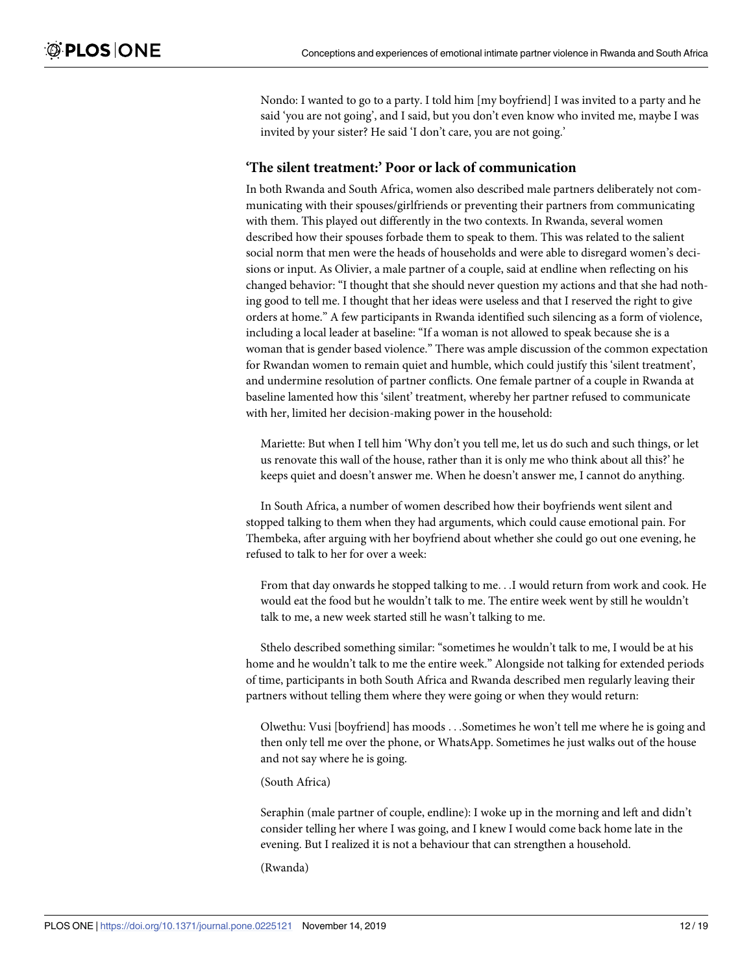Nondo: I wanted to go to a party. I told him [my boyfriend] I was invited to a party and he said 'you are not going', and I said, but you don't even know who invited me, maybe I was invited by your sister? He said 'I don't care, you are not going.'

#### **'The silent treatment:' Poor or lack of communication**

In both Rwanda and South Africa, women also described male partners deliberately not communicating with their spouses/girlfriends or preventing their partners from communicating with them. This played out differently in the two contexts. In Rwanda, several women described how their spouses forbade them to speak to them. This was related to the salient social norm that men were the heads of households and were able to disregard women's decisions or input. As Olivier, a male partner of a couple, said at endline when reflecting on his changed behavior: "I thought that she should never question my actions and that she had nothing good to tell me. I thought that her ideas were useless and that I reserved the right to give orders at home." A few participants in Rwanda identified such silencing as a form of violence, including a local leader at baseline: "If a woman is not allowed to speak because she is a woman that is gender based violence." There was ample discussion of the common expectation for Rwandan women to remain quiet and humble, which could justify this 'silent treatment', and undermine resolution of partner conflicts. One female partner of a couple in Rwanda at baseline lamented how this 'silent' treatment, whereby her partner refused to communicate with her, limited her decision-making power in the household:

Mariette: But when I tell him 'Why don't you tell me, let us do such and such things, or let us renovate this wall of the house, rather than it is only me who think about all this?' he keeps quiet and doesn't answer me. When he doesn't answer me, I cannot do anything.

In South Africa, a number of women described how their boyfriends went silent and stopped talking to them when they had arguments, which could cause emotional pain. For Thembeka, after arguing with her boyfriend about whether she could go out one evening, he refused to talk to her for over a week:

From that day onwards he stopped talking to me. . .I would return from work and cook. He would eat the food but he wouldn't talk to me. The entire week went by still he wouldn't talk to me, a new week started still he wasn't talking to me.

Sthelo described something similar: "sometimes he wouldn't talk to me, I would be at his home and he wouldn't talk to me the entire week." Alongside not talking for extended periods of time, participants in both South Africa and Rwanda described men regularly leaving their partners without telling them where they were going or when they would return:

Olwethu: Vusi [boyfriend] has moods . . .Sometimes he won't tell me where he is going and then only tell me over the phone, or WhatsApp. Sometimes he just walks out of the house and not say where he is going.

(South Africa)

Seraphin (male partner of couple, endline): I woke up in the morning and left and didn't consider telling her where I was going, and I knew I would come back home late in the evening. But I realized it is not a behaviour that can strengthen a household.

(Rwanda)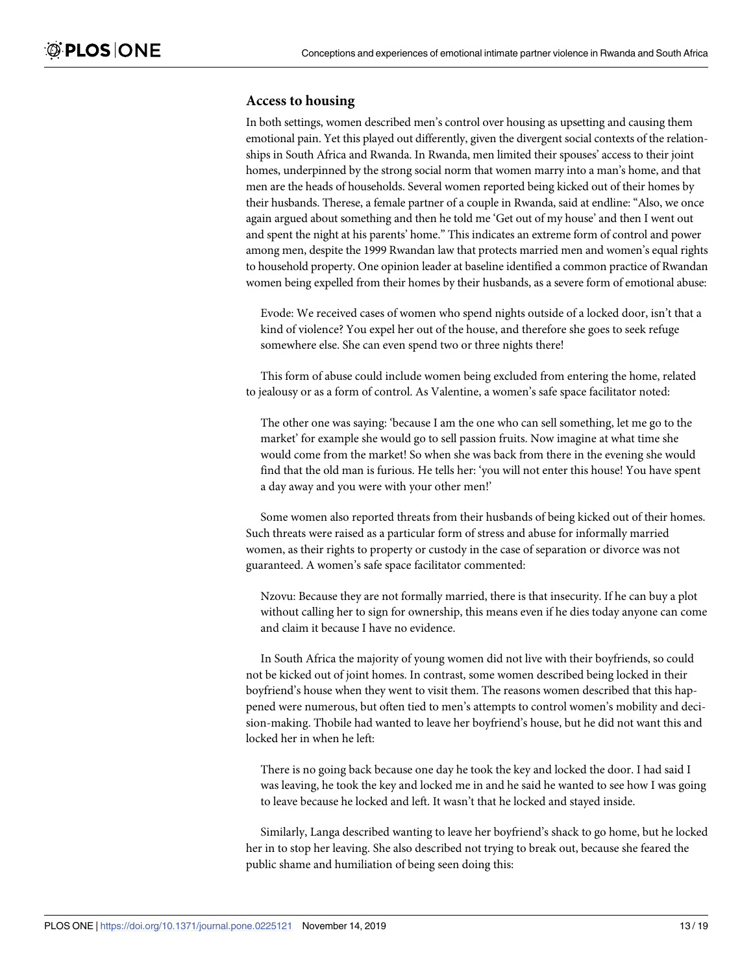#### **Access to housing**

In both settings, women described men's control over housing as upsetting and causing them emotional pain. Yet this played out differently, given the divergent social contexts of the relationships in South Africa and Rwanda. In Rwanda, men limited their spouses' access to their joint homes, underpinned by the strong social norm that women marry into a man's home, and that men are the heads of households. Several women reported being kicked out of their homes by their husbands. Therese, a female partner of a couple in Rwanda, said at endline: "Also, we once again argued about something and then he told me 'Get out of my house' and then I went out and spent the night at his parents' home." This indicates an extreme form of control and power among men, despite the 1999 Rwandan law that protects married men and women's equal rights to household property. One opinion leader at baseline identified a common practice of Rwandan women being expelled from their homes by their husbands, as a severe form of emotional abuse:

Evode: We received cases of women who spend nights outside of a locked door, isn't that a kind of violence? You expel her out of the house, and therefore she goes to seek refuge somewhere else. She can even spend two or three nights there!

This form of abuse could include women being excluded from entering the home, related to jealousy or as a form of control. As Valentine, a women's safe space facilitator noted:

The other one was saying: 'because I am the one who can sell something, let me go to the market' for example she would go to sell passion fruits. Now imagine at what time she would come from the market! So when she was back from there in the evening she would find that the old man is furious. He tells her: 'you will not enter this house! You have spent a day away and you were with your other men!'

Some women also reported threats from their husbands of being kicked out of their homes. Such threats were raised as a particular form of stress and abuse for informally married women, as their rights to property or custody in the case of separation or divorce was not guaranteed. A women's safe space facilitator commented:

Nzovu: Because they are not formally married, there is that insecurity. If he can buy a plot without calling her to sign for ownership, this means even if he dies today anyone can come and claim it because I have no evidence.

In South Africa the majority of young women did not live with their boyfriends, so could not be kicked out of joint homes. In contrast, some women described being locked in their boyfriend's house when they went to visit them. The reasons women described that this happened were numerous, but often tied to men's attempts to control women's mobility and decision-making. Thobile had wanted to leave her boyfriend's house, but he did not want this and locked her in when he left:

There is no going back because one day he took the key and locked the door. I had said I was leaving, he took the key and locked me in and he said he wanted to see how I was going to leave because he locked and left. It wasn't that he locked and stayed inside.

Similarly, Langa described wanting to leave her boyfriend's shack to go home, but he locked her in to stop her leaving. She also described not trying to break out, because she feared the public shame and humiliation of being seen doing this: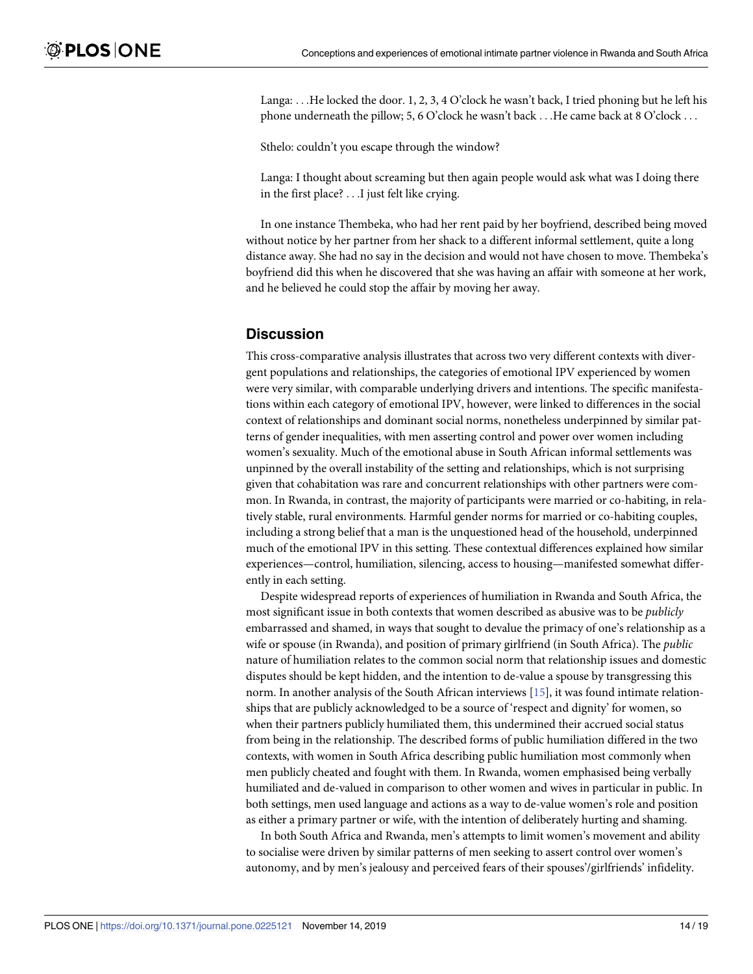Langa: . . .He locked the door. 1, 2, 3, 4 O'clock he wasn't back, I tried phoning but he left his phone underneath the pillow; 5, 6 O'clock he wasn't back . . . He came back at 8 O'clock . . .

Sthelo: couldn't you escape through the window?

Langa: I thought about screaming but then again people would ask what was I doing there in the first place? . . .I just felt like crying.

In one instance Thembeka, who had her rent paid by her boyfriend, described being moved without notice by her partner from her shack to a different informal settlement, quite a long distance away. She had no say in the decision and would not have chosen to move. Thembeka's boyfriend did this when he discovered that she was having an affair with someone at her work, and he believed he could stop the affair by moving her away.

## **Discussion**

This cross-comparative analysis illustrates that across two very different contexts with divergent populations and relationships, the categories of emotional IPV experienced by women were very similar, with comparable underlying drivers and intentions. The specific manifestations within each category of emotional IPV, however, were linked to differences in the social context of relationships and dominant social norms, nonetheless underpinned by similar patterns of gender inequalities, with men asserting control and power over women including women's sexuality. Much of the emotional abuse in South African informal settlements was unpinned by the overall instability of the setting and relationships, which is not surprising given that cohabitation was rare and concurrent relationships with other partners were common. In Rwanda, in contrast, the majority of participants were married or co-habiting, in relatively stable, rural environments. Harmful gender norms for married or co-habiting couples, including a strong belief that a man is the unquestioned head of the household, underpinned much of the emotional IPV in this setting. These contextual differences explained how similar experiences—control, humiliation, silencing, access to housing—manifested somewhat differently in each setting.

Despite widespread reports of experiences of humiliation in Rwanda and South Africa, the most significant issue in both contexts that women described as abusive was to be *publicly* embarrassed and shamed, in ways that sought to devalue the primacy of one's relationship as a wife or spouse (in Rwanda), and position of primary girlfriend (in South Africa). The *public* nature of humiliation relates to the common social norm that relationship issues and domestic disputes should be kept hidden, and the intention to de-value a spouse by transgressing this norm. In another analysis of the South African interviews [[15](#page-18-0)], it was found intimate relationships that are publicly acknowledged to be a source of 'respect and dignity' for women, so when their partners publicly humiliated them, this undermined their accrued social status from being in the relationship. The described forms of public humiliation differed in the two contexts, with women in South Africa describing public humiliation most commonly when men publicly cheated and fought with them. In Rwanda, women emphasised being verbally humiliated and de-valued in comparison to other women and wives in particular in public. In both settings, men used language and actions as a way to de-value women's role and position as either a primary partner or wife, with the intention of deliberately hurting and shaming.

In both South Africa and Rwanda, men's attempts to limit women's movement and ability to socialise were driven by similar patterns of men seeking to assert control over women's autonomy, and by men's jealousy and perceived fears of their spouses'/girlfriends' infidelity.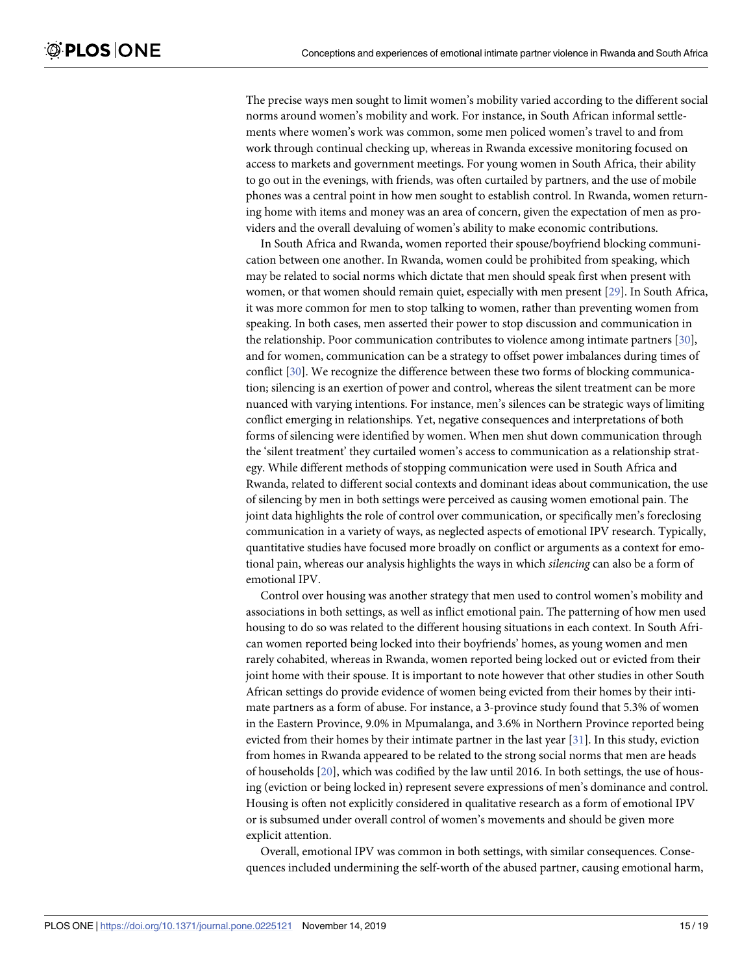<span id="page-14-0"></span>The precise ways men sought to limit women's mobility varied according to the different social norms around women's mobility and work. For instance, in South African informal settlements where women's work was common, some men policed women's travel to and from work through continual checking up, whereas in Rwanda excessive monitoring focused on access to markets and government meetings. For young women in South Africa, their ability to go out in the evenings, with friends, was often curtailed by partners, and the use of mobile phones was a central point in how men sought to establish control. In Rwanda, women returning home with items and money was an area of concern, given the expectation of men as providers and the overall devaluing of women's ability to make economic contributions.

In South Africa and Rwanda, women reported their spouse/boyfriend blocking communication between one another. In Rwanda, women could be prohibited from speaking, which may be related to social norms which dictate that men should speak first when present with women, or that women should remain quiet, especially with men present [\[29\]](#page-18-0). In South Africa, it was more common for men to stop talking to women, rather than preventing women from speaking. In both cases, men asserted their power to stop discussion and communication in the relationship. Poor communication contributes to violence among intimate partners [\[30\]](#page-18-0), and for women, communication can be a strategy to offset power imbalances during times of conflict [[30](#page-18-0)]. We recognize the difference between these two forms of blocking communication; silencing is an exertion of power and control, whereas the silent treatment can be more nuanced with varying intentions. For instance, men's silences can be strategic ways of limiting conflict emerging in relationships. Yet, negative consequences and interpretations of both forms of silencing were identified by women. When men shut down communication through the 'silent treatment' they curtailed women's access to communication as a relationship strategy. While different methods of stopping communication were used in South Africa and Rwanda, related to different social contexts and dominant ideas about communication, the use of silencing by men in both settings were perceived as causing women emotional pain. The joint data highlights the role of control over communication, or specifically men's foreclosing communication in a variety of ways, as neglected aspects of emotional IPV research. Typically, quantitative studies have focused more broadly on conflict or arguments as a context for emotional pain, whereas our analysis highlights the ways in which *silencing* can also be a form of emotional IPV.

Control over housing was another strategy that men used to control women's mobility and associations in both settings, as well as inflict emotional pain. The patterning of how men used housing to do so was related to the different housing situations in each context. In South African women reported being locked into their boyfriends' homes, as young women and men rarely cohabited, whereas in Rwanda, women reported being locked out or evicted from their joint home with their spouse. It is important to note however that other studies in other South African settings do provide evidence of women being evicted from their homes by their intimate partners as a form of abuse. For instance, a 3-province study found that 5.3% of women in the Eastern Province, 9.0% in Mpumalanga, and 3.6% in Northern Province reported being evicted from their homes by their intimate partner in the last year [[31](#page-18-0)]. In this study, eviction from homes in Rwanda appeared to be related to the strong social norms that men are heads of households [[20](#page-18-0)], which was codified by the law until 2016. In both settings, the use of housing (eviction or being locked in) represent severe expressions of men's dominance and control. Housing is often not explicitly considered in qualitative research as a form of emotional IPV or is subsumed under overall control of women's movements and should be given more explicit attention.

Overall, emotional IPV was common in both settings, with similar consequences. Consequences included undermining the self-worth of the abused partner, causing emotional harm,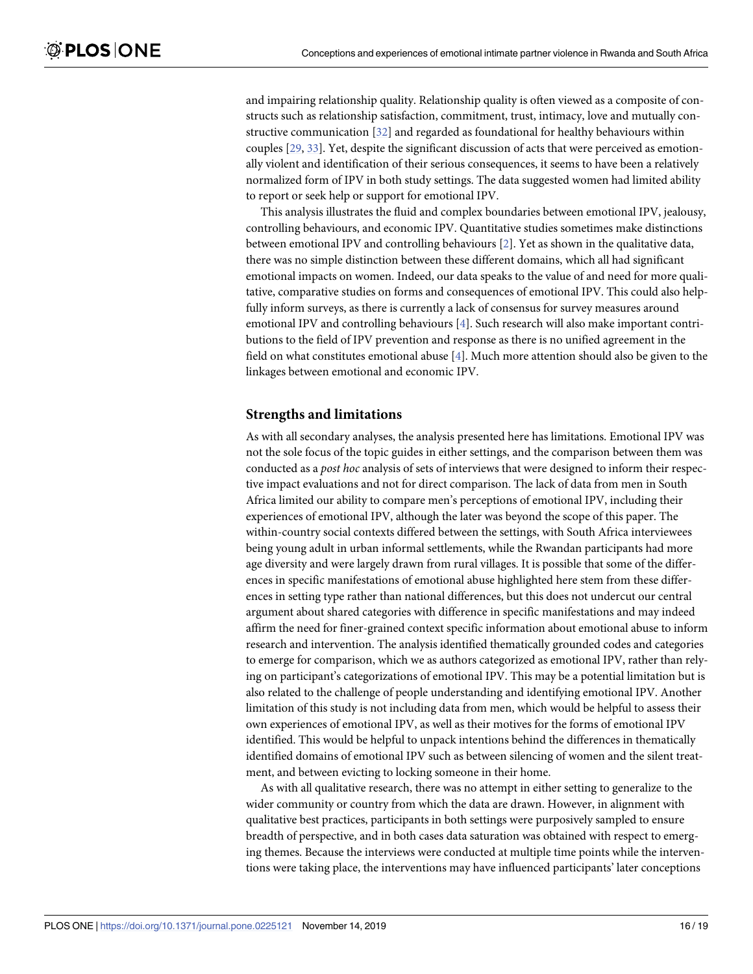<span id="page-15-0"></span>and impairing relationship quality. Relationship quality is often viewed as a composite of constructs such as relationship satisfaction, commitment, trust, intimacy, love and mutually constructive communication [[32](#page-18-0)] and regarded as foundational for healthy behaviours within couples [[29](#page-18-0), [33](#page-18-0)]. Yet, despite the significant discussion of acts that were perceived as emotionally violent and identification of their serious consequences, it seems to have been a relatively normalized form of IPV in both study settings. The data suggested women had limited ability to report or seek help or support for emotional IPV.

This analysis illustrates the fluid and complex boundaries between emotional IPV, jealousy, controlling behaviours, and economic IPV. Quantitative studies sometimes make distinctions between emotional IPV and controlling behaviours [\[2](#page-17-0)]. Yet as shown in the qualitative data, there was no simple distinction between these different domains, which all had significant emotional impacts on women. Indeed, our data speaks to the value of and need for more qualitative, comparative studies on forms and consequences of emotional IPV. This could also helpfully inform surveys, as there is currently a lack of consensus for survey measures around emotional IPV and controlling behaviours [\[4\]](#page-17-0). Such research will also make important contributions to the field of IPV prevention and response as there is no unified agreement in the field on what constitutes emotional abuse [\[4](#page-17-0)]. Much more attention should also be given to the linkages between emotional and economic IPV.

#### **Strengths and limitations**

As with all secondary analyses, the analysis presented here has limitations. Emotional IPV was not the sole focus of the topic guides in either settings, and the comparison between them was conducted as a *post hoc* analysis of sets of interviews that were designed to inform their respective impact evaluations and not for direct comparison. The lack of data from men in South Africa limited our ability to compare men's perceptions of emotional IPV, including their experiences of emotional IPV, although the later was beyond the scope of this paper. The within-country social contexts differed between the settings, with South Africa interviewees being young adult in urban informal settlements, while the Rwandan participants had more age diversity and were largely drawn from rural villages. It is possible that some of the differences in specific manifestations of emotional abuse highlighted here stem from these differences in setting type rather than national differences, but this does not undercut our central argument about shared categories with difference in specific manifestations and may indeed affirm the need for finer-grained context specific information about emotional abuse to inform research and intervention. The analysis identified thematically grounded codes and categories to emerge for comparison, which we as authors categorized as emotional IPV, rather than relying on participant's categorizations of emotional IPV. This may be a potential limitation but is also related to the challenge of people understanding and identifying emotional IPV. Another limitation of this study is not including data from men, which would be helpful to assess their own experiences of emotional IPV, as well as their motives for the forms of emotional IPV identified. This would be helpful to unpack intentions behind the differences in thematically identified domains of emotional IPV such as between silencing of women and the silent treatment, and between evicting to locking someone in their home.

As with all qualitative research, there was no attempt in either setting to generalize to the wider community or country from which the data are drawn. However, in alignment with qualitative best practices, participants in both settings were purposively sampled to ensure breadth of perspective, and in both cases data saturation was obtained with respect to emerging themes. Because the interviews were conducted at multiple time points while the interventions were taking place, the interventions may have influenced participants' later conceptions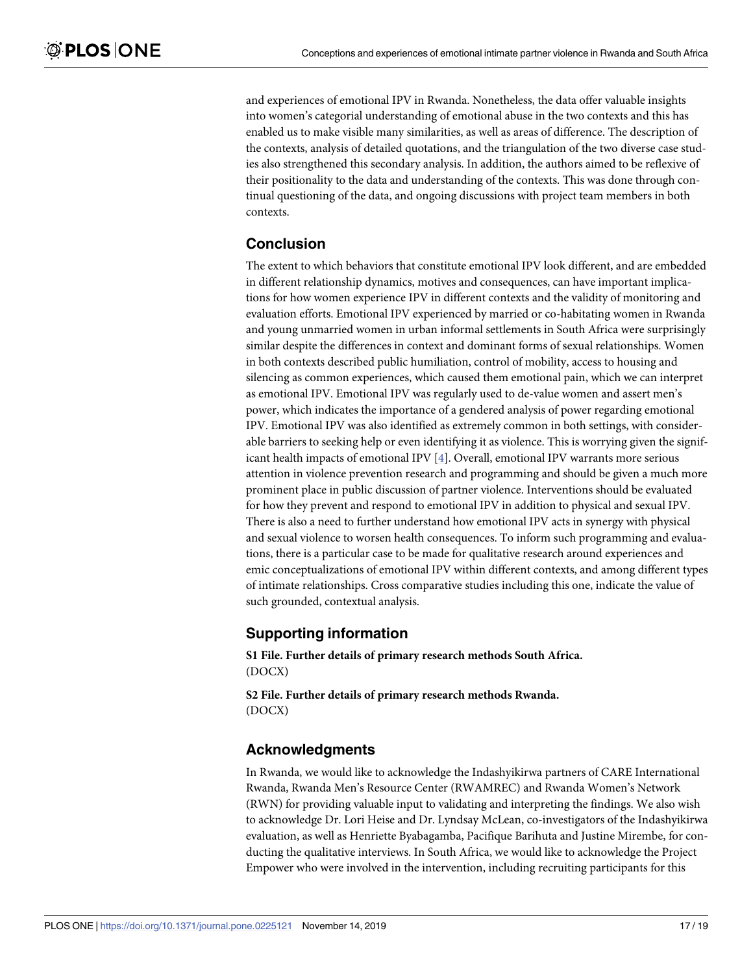and experiences of emotional IPV in Rwanda. Nonetheless, the data offer valuable insights into women's categorial understanding of emotional abuse in the two contexts and this has enabled us to make visible many similarities, as well as areas of difference. The description of the contexts, analysis of detailed quotations, and the triangulation of the two diverse case studies also strengthened this secondary analysis. In addition, the authors aimed to be reflexive of their positionality to the data and understanding of the contexts. This was done through continual questioning of the data, and ongoing discussions with project team members in both contexts.

## **Conclusion**

The extent to which behaviors that constitute emotional IPV look different, and are embedded in different relationship dynamics, motives and consequences, can have important implications for how women experience IPV in different contexts and the validity of monitoring and evaluation efforts. Emotional IPV experienced by married or co-habitating women in Rwanda and young unmarried women in urban informal settlements in South Africa were surprisingly similar despite the differences in context and dominant forms of sexual relationships. Women in both contexts described public humiliation, control of mobility, access to housing and silencing as common experiences, which caused them emotional pain, which we can interpret as emotional IPV. Emotional IPV was regularly used to de-value women and assert men's power, which indicates the importance of a gendered analysis of power regarding emotional IPV. Emotional IPV was also identified as extremely common in both settings, with considerable barriers to seeking help or even identifying it as violence. This is worrying given the significant health impacts of emotional IPV [\[4](#page-17-0)]. Overall, emotional IPV warrants more serious attention in violence prevention research and programming and should be given a much more prominent place in public discussion of partner violence. Interventions should be evaluated for how they prevent and respond to emotional IPV in addition to physical and sexual IPV. There is also a need to further understand how emotional IPV acts in synergy with physical and sexual violence to worsen health consequences. To inform such programming and evaluations, there is a particular case to be made for qualitative research around experiences and emic conceptualizations of emotional IPV within different contexts, and among different types of intimate relationships. Cross comparative studies including this one, indicate the value of such grounded, contextual analysis.

## **Supporting information**

**S1 [File.](http://www.plosone.org/article/fetchSingleRepresentation.action?uri=info:doi/10.1371/journal.pone.0225121.s001) Further details of primary research methods South Africa.** (DOCX)

**S2 [File.](http://www.plosone.org/article/fetchSingleRepresentation.action?uri=info:doi/10.1371/journal.pone.0225121.s002) Further details of primary research methods Rwanda.** (DOCX)

## **Acknowledgments**

In Rwanda, we would like to acknowledge the Indashyikirwa partners of CARE International Rwanda, Rwanda Men's Resource Center (RWAMREC) and Rwanda Women's Network (RWN) for providing valuable input to validating and interpreting the findings. We also wish to acknowledge Dr. Lori Heise and Dr. Lyndsay McLean, co-investigators of the Indashyikirwa evaluation, as well as Henriette Byabagamba, Pacifique Barihuta and Justine Mirembe, for conducting the qualitative interviews. In South Africa, we would like to acknowledge the Project Empower who were involved in the intervention, including recruiting participants for this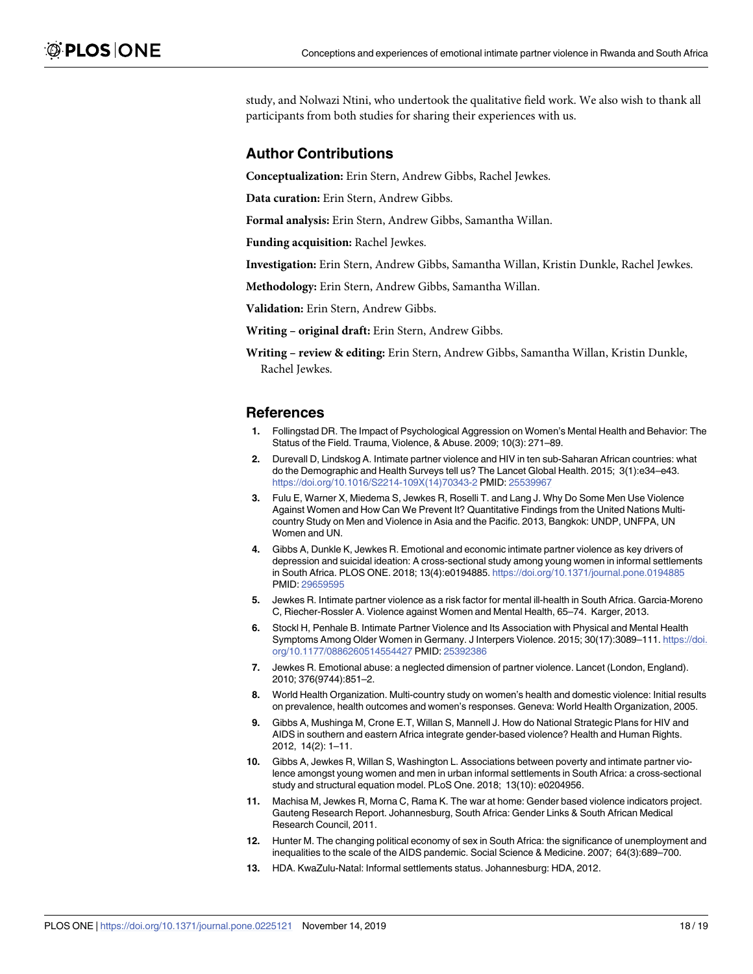<span id="page-17-0"></span>study, and Nolwazi Ntini, who undertook the qualitative field work. We also wish to thank all participants from both studies for sharing their experiences with us.

## **Author Contributions**

**Conceptualization:** Erin Stern, Andrew Gibbs, Rachel Jewkes.

**Data curation:** Erin Stern, Andrew Gibbs.

**Formal analysis:** Erin Stern, Andrew Gibbs, Samantha Willan.

**Funding acquisition:** Rachel Jewkes.

**Investigation:** Erin Stern, Andrew Gibbs, Samantha Willan, Kristin Dunkle, Rachel Jewkes.

**Methodology:** Erin Stern, Andrew Gibbs, Samantha Willan.

**Validation:** Erin Stern, Andrew Gibbs.

**Writing – original draft:** Erin Stern, Andrew Gibbs.

**Writing – review & editing:** Erin Stern, Andrew Gibbs, Samantha Willan, Kristin Dunkle, Rachel Jewkes.

#### **References**

- **[1](#page-1-0).** Follingstad DR. The Impact of Psychological Aggression on Women's Mental Health and Behavior: The Status of the Field. Trauma, Violence, & Abuse. 2009; 10(3): 271–89.
- **[2](#page-1-0).** Durevall D, Lindskog A. Intimate partner violence and HIV in ten sub-Saharan African countries: what do the Demographic and Health Surveys tell us? The Lancet Global Health. 2015; 3(1):e34–e43. [https://doi.org/10.1016/S2214-109X\(14\)70343-2](https://doi.org/10.1016/S2214-109X(14)70343-2) PMID: [25539967](http://www.ncbi.nlm.nih.gov/pubmed/25539967)
- **[3](#page-1-0).** Fulu E, Warner X, Miedema S, Jewkes R, Roselli T. and Lang J. Why Do Some Men Use Violence Against Women and How Can We Prevent It? Quantitative Findings from the United Nations Multicountry Study on Men and Violence in Asia and the Pacific. 2013, Bangkok: UNDP, UNFPA, UN Women and UN.
- **[4](#page-1-0).** Gibbs A, Dunkle K, Jewkes R. Emotional and economic intimate partner violence as key drivers of depression and suicidal ideation: A cross-sectional study among young women in informal settlements in South Africa. PLOS ONE. 2018; 13(4):e0194885. <https://doi.org/10.1371/journal.pone.0194885> PMID: [29659595](http://www.ncbi.nlm.nih.gov/pubmed/29659595)
- **[5](#page-1-0).** Jewkes R. Intimate partner violence as a risk factor for mental ill-health in South Africa. Garcia-Moreno C, Riecher-Rossler A. Violence against Women and Mental Health, 65–74. Karger, 2013.
- **[6](#page-1-0).** Stockl H, Penhale B. Intimate Partner Violence and Its Association with Physical and Mental Health Symptoms Among Older Women in Germany. J Interpers Violence. 2015; 30(17):3089–111. [https://doi.](https://doi.org/10.1177/0886260514554427) [org/10.1177/0886260514554427](https://doi.org/10.1177/0886260514554427) PMID: [25392386](http://www.ncbi.nlm.nih.gov/pubmed/25392386)
- **[7](#page-1-0).** Jewkes R. Emotional abuse: a neglected dimension of partner violence. Lancet (London, England). 2010; 376(9744):851–2.
- **[8](#page-1-0).** World Health Organization. Multi-country study on women's health and domestic violence: Initial results on prevalence, health outcomes and women's responses. Geneva: World Health Organization, 2005.
- **[9](#page-2-0).** Gibbs A, Mushinga M, Crone E.T, Willan S, Mannell J. How do National Strategic Plans for HIV and AIDS in southern and eastern Africa integrate gender-based violence? Health and Human Rights. 2012, 14(2): 1–11.
- **[10](#page-2-0).** Gibbs A, Jewkes R, Willan S, Washington L. Associations between poverty and intimate partner violence amongst young women and men in urban informal settlements in South Africa: a cross-sectional study and structural equation model. PLoS One. 2018; 13(10): e0204956.
- **[11](#page-2-0).** Machisa M, Jewkes R, Morna C, Rama K. The war at home: Gender based violence indicators project. Gauteng Research Report. Johannesburg, South Africa: Gender Links & South African Medical Research Council, 2011.
- **[12](#page-2-0).** Hunter M. The changing political economy of sex in South Africa: the significance of unemployment and inequalities to the scale of the AIDS pandemic. Social Science & Medicine. 2007; 64(3):689–700.
- **[13](#page-2-0).** HDA. KwaZulu-Natal: Informal settlements status. Johannesburg: HDA, 2012.